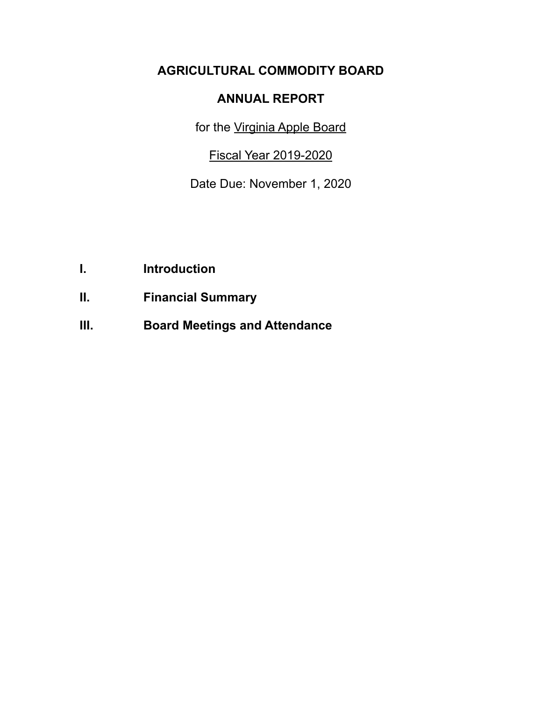# **AGRICULTURAL COMMODITY BOARD**

## **ANNUAL REPORT**

for the Virginia Apple Board

Fiscal Year 2019-2020

Date Due: November 1, 2020

- **I. Introduction**
- **II. Financial Summary**
- **III. Board Meetings and Attendance**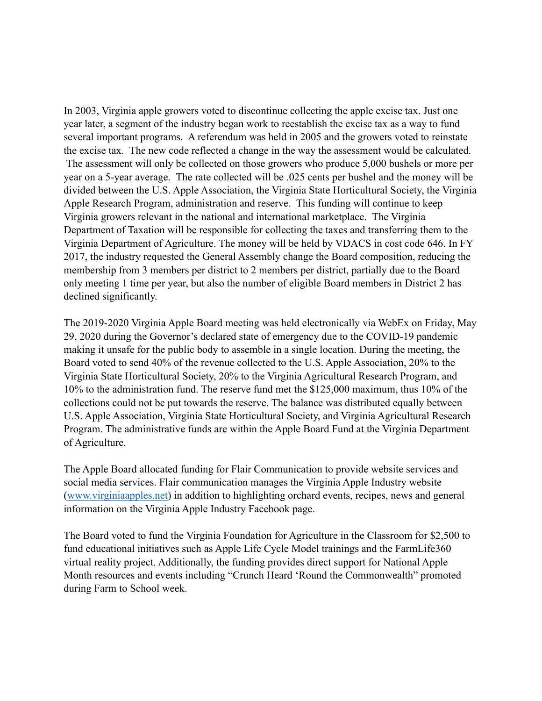In 2003, Virginia apple growers voted to discontinue collecting the apple excise tax. Just one year later, a segment of the industry began work to reestablish the excise tax as a way to fund several important programs. A referendum was held in 2005 and the growers voted to reinstate the excise tax. The new code reflected a change in the way the assessment would be calculated. The assessment will only be collected on those growers who produce 5,000 bushels or more per year on a 5-year average. The rate collected will be .025 cents per bushel and the money will be divided between the U.S. Apple Association, the Virginia State Horticultural Society, the Virginia Apple Research Program, administration and reserve. This funding will continue to keep Virginia growers relevant in the national and international marketplace. The Virginia Department of Taxation will be responsible for collecting the taxes and transferring them to the Virginia Department of Agriculture. The money will be held by VDACS in cost code 646. In FY 2017, the industry requested the General Assembly change the Board composition, reducing the membership from 3 members per district to 2 members per district, partially due to the Board only meeting 1 time per year, but also the number of eligible Board members in District 2 has declined significantly.

The 2019-2020 Virginia Apple Board meeting was held electronically via WebEx on Friday, May 29, 2020 during the Governor's declared state of emergency due to the COVID-19 pandemic making it unsafe for the public body to assemble in a single location. During the meeting, the Board voted to send 40% of the revenue collected to the U.S. Apple Association, 20% to the Virginia State Horticultural Society, 20% to the Virginia Agricultural Research Program, and 10% to the administration fund. The reserve fund met the \$125,000 maximum, thus 10% of the collections could not be put towards the reserve. The balance was distributed equally between U.S. Apple Association, Virginia State Horticultural Society, and Virginia Agricultural Research Program. The administrative funds are within the Apple Board Fund at the Virginia Department of Agriculture.

The Apple Board allocated funding for Flair Communication to provide website services and social media services. Flair communication manages the Virginia Apple Industry website ([www.virginiaapples.net\)](http://www.virginiaapples.net) in addition to highlighting orchard events, recipes, news and general information on the Virginia Apple Industry Facebook page.

The Board voted to fund the Virginia Foundation for Agriculture in the Classroom for \$2,500 to fund educational initiatives such as Apple Life Cycle Model trainings and the FarmLife360 virtual reality project. Additionally, the funding provides direct support for National Apple Month resources and events including "Crunch Heard 'Round the Commonwealth" promoted during Farm to School week.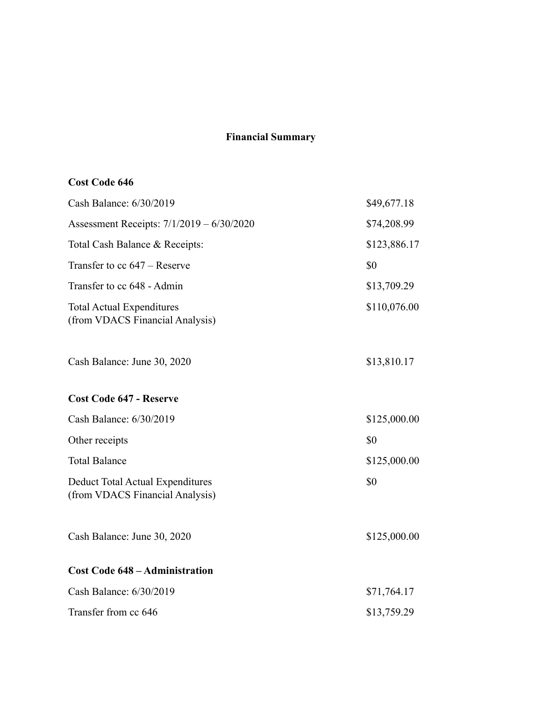### **Financial Summary**

## **Cost Code 646**

| Cash Balance: 6/30/2019                                             | \$49,677.18  |
|---------------------------------------------------------------------|--------------|
| Assessment Receipts: 7/1/2019 - 6/30/2020                           | \$74,208.99  |
| Total Cash Balance & Receipts:                                      | \$123,886.17 |
| Transfer to cc $647$ – Reserve                                      | \$0          |
| Transfer to cc 648 - Admin                                          | \$13,709.29  |
| <b>Total Actual Expenditures</b><br>(from VDACS Financial Analysis) | \$110,076.00 |
| Cash Balance: June 30, 2020                                         | \$13,810.17  |
| <b>Cost Code 647 - Reserve</b>                                      |              |
| Cash Balance: 6/30/2019                                             | \$125,000.00 |
| Other receipts                                                      | \$0          |
| <b>Total Balance</b>                                                | \$125,000.00 |
| Deduct Total Actual Expenditures<br>(from VDACS Financial Analysis) | \$0          |
| Cash Balance: June 30, 2020                                         | \$125,000.00 |
| <b>Cost Code 648 - Administration</b>                               |              |
| Cash Balance: 6/30/2019                                             | \$71,764.17  |
| Transfer from cc 646                                                | \$13,759.29  |